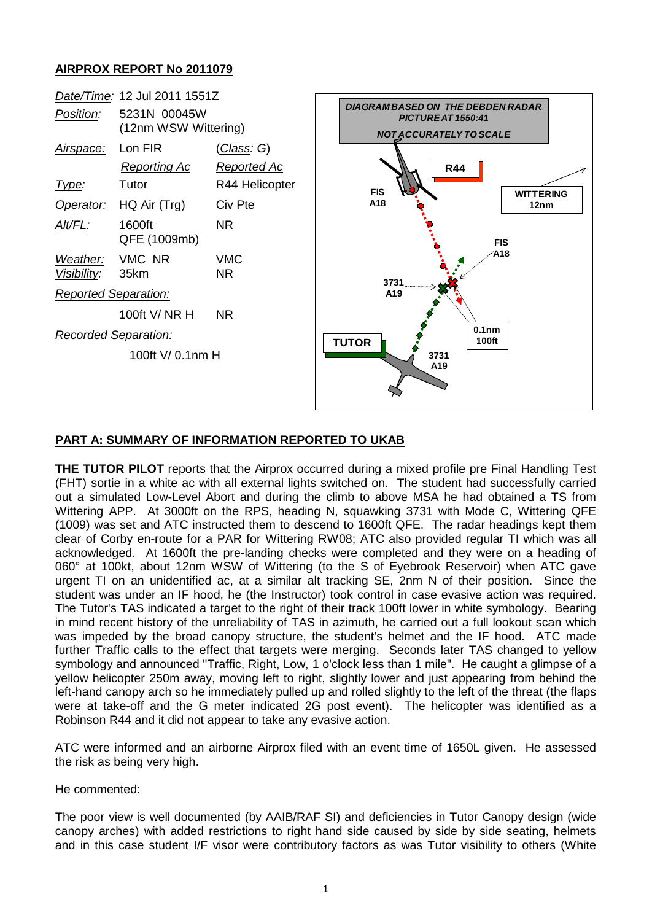## **AIRPROX REPORT No 2011079**



## **PART A: SUMMARY OF INFORMATION REPORTED TO UKAB**

**THE TUTOR PILOT** reports that the Airprox occurred during a mixed profile pre Final Handling Test (FHT) sortie in a white ac with all external lights switched on. The student had successfully carried out a simulated Low-Level Abort and during the climb to above MSA he had obtained a TS from Wittering APP. At 3000ft on the RPS, heading N, squawking 3731 with Mode C, Wittering QFE (1009) was set and ATC instructed them to descend to 1600ft QFE. The radar headings kept them clear of Corby en-route for a PAR for Wittering RW08; ATC also provided regular TI which was all acknowledged. At 1600ft the pre-landing checks were completed and they were on a heading of 060° at 100kt, about 12nm WSW of Wittering (to the S of Eyebrook Reservoir) when ATC gave urgent TI on an unidentified ac, at a similar alt tracking SE, 2nm N of their position. Since the student was under an IF hood, he (the Instructor) took control in case evasive action was required. The Tutor's TAS indicated a target to the right of their track 100ft lower in white symbology. Bearing in mind recent history of the unreliability of TAS in azimuth, he carried out a full lookout scan which was impeded by the broad canopy structure, the student's helmet and the IF hood. ATC made further Traffic calls to the effect that targets were merging. Seconds later TAS changed to yellow symbology and announced "Traffic, Right, Low, 1 o'clock less than 1 mile". He caught a glimpse of a yellow helicopter 250m away, moving left to right, slightly lower and just appearing from behind the left-hand canopy arch so he immediately pulled up and rolled slightly to the left of the threat (the flaps were at take-off and the G meter indicated 2G post event). The helicopter was identified as a Robinson R44 and it did not appear to take any evasive action.

ATC were informed and an airborne Airprox filed with an event time of 1650L given. He assessed the risk as being very high.

He commented:

The poor view is well documented (by AAIB/RAF SI) and deficiencies in Tutor Canopy design (wide canopy arches) with added restrictions to right hand side caused by side by side seating, helmets and in this case student I/F visor were contributory factors as was Tutor visibility to others (White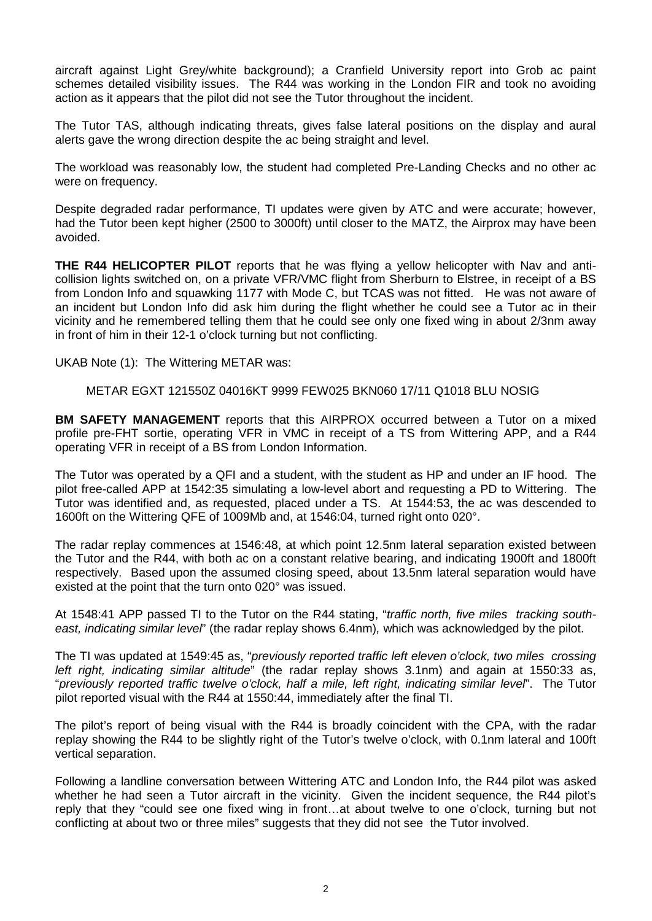aircraft against Light Grey/white background); a Cranfield University report into Grob ac paint schemes detailed visibility issues. The R44 was working in the London FIR and took no avoiding action as it appears that the pilot did not see the Tutor throughout the incident.

The Tutor TAS, although indicating threats, gives false lateral positions on the display and aural alerts gave the wrong direction despite the ac being straight and level.

The workload was reasonably low, the student had completed Pre-Landing Checks and no other ac were on frequency.

Despite degraded radar performance, TI updates were given by ATC and were accurate; however, had the Tutor been kept higher (2500 to 3000ft) until closer to the MATZ, the Airprox may have been avoided.

**THE R44 HELICOPTER PILOT** reports that he was flying a yellow helicopter with Nav and anticollision lights switched on, on a private VFR/VMC flight from Sherburn to Elstree, in receipt of a BS from London Info and squawking 1177 with Mode C, but TCAS was not fitted. He was not aware of an incident but London Info did ask him during the flight whether he could see a Tutor ac in their vicinity and he remembered telling them that he could see only one fixed wing in about 2/3nm away in front of him in their 12-1 o'clock turning but not conflicting.

UKAB Note (1): The Wittering METAR was:

METAR EGXT 121550Z 04016KT 9999 FEW025 BKN060 17/11 Q1018 BLU NOSIG

**BM SAFETY MANAGEMENT** reports that this AIRPROX occurred between a Tutor on a mixed profile pre-FHT sortie, operating VFR in VMC in receipt of a TS from Wittering APP, and a R44 operating VFR in receipt of a BS from London Information.

The Tutor was operated by a QFI and a student, with the student as HP and under an IF hood. The pilot free-called APP at 1542:35 simulating a low-level abort and requesting a PD to Wittering. The Tutor was identified and, as requested, placed under a TS. At 1544:53, the ac was descended to 1600ft on the Wittering QFE of 1009Mb and, at 1546:04, turned right onto 020°.

The radar replay commences at 1546:48, at which point 12.5nm lateral separation existed between the Tutor and the R44, with both ac on a constant relative bearing, and indicating 1900ft and 1800ft respectively. Based upon the assumed closing speed, about 13.5nm lateral separation would have existed at the point that the turn onto 020° was issued.

At 1548:41 APP passed TI to the Tutor on the R44 stating, "*traffic north, five miles tracking southeast, indicating similar level*" (the radar replay shows 6.4nm)*,* which was acknowledged by the pilot.

The TI was updated at 1549:45 as, "*previously reported traffic left eleven o'clock, two miles crossing left right, indicating similar altitude*" (the radar replay shows 3.1nm) and again at 1550:33 as, "*previously reported traffic twelve o'clock, half a mile, left right, indicating similar level*". The Tutor pilot reported visual with the R44 at 1550:44, immediately after the final TI.

The pilot's report of being visual with the R44 is broadly coincident with the CPA, with the radar replay showing the R44 to be slightly right of the Tutor's twelve o'clock, with 0.1nm lateral and 100ft vertical separation.

Following a landline conversation between Wittering ATC and London Info, the R44 pilot was asked whether he had seen a Tutor aircraft in the vicinity. Given the incident sequence, the R44 pilot's reply that they "could see one fixed wing in front…at about twelve to one o'clock, turning but not conflicting at about two or three miles" suggests that they did not see the Tutor involved.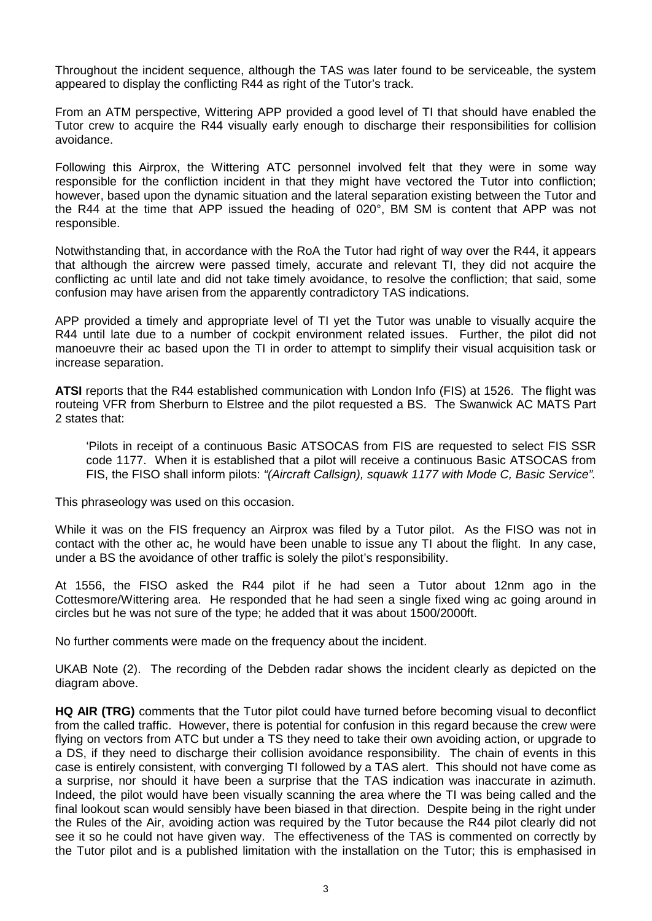Throughout the incident sequence, although the TAS was later found to be serviceable, the system appeared to display the conflicting R44 as right of the Tutor's track.

From an ATM perspective, Wittering APP provided a good level of TI that should have enabled the Tutor crew to acquire the R44 visually early enough to discharge their responsibilities for collision avoidance.

Following this Airprox, the Wittering ATC personnel involved felt that they were in some way responsible for the confliction incident in that they might have vectored the Tutor into confliction; however, based upon the dynamic situation and the lateral separation existing between the Tutor and the R44 at the time that APP issued the heading of 020°, BM SM is content that APP was not responsible.

Notwithstanding that, in accordance with the RoA the Tutor had right of way over the R44, it appears that although the aircrew were passed timely, accurate and relevant TI, they did not acquire the conflicting ac until late and did not take timely avoidance, to resolve the confliction; that said, some confusion may have arisen from the apparently contradictory TAS indications.

APP provided a timely and appropriate level of TI yet the Tutor was unable to visually acquire the R44 until late due to a number of cockpit environment related issues. Further, the pilot did not manoeuvre their ac based upon the TI in order to attempt to simplify their visual acquisition task or increase separation.

**ATSI** reports that the R44 established communication with London Info (FIS) at 1526. The flight was routeing VFR from Sherburn to Elstree and the pilot requested a BS. The Swanwick AC MATS Part 2 states that:

'Pilots in receipt of a continuous Basic ATSOCAS from FIS are requested to select FIS SSR code 1177. When it is established that a pilot will receive a continuous Basic ATSOCAS from FIS, the FISO shall inform pilots: *"(Aircraft Callsign), squawk 1177 with Mode C, Basic Service".* 

This phraseology was used on this occasion.

While it was on the FIS frequency an Airprox was filed by a Tutor pilot. As the FISO was not in contact with the other ac, he would have been unable to issue any TI about the flight. In any case, under a BS the avoidance of other traffic is solely the pilot's responsibility.

At 1556, the FISO asked the R44 pilot if he had seen a Tutor about 12nm ago in the Cottesmore/Wittering area. He responded that he had seen a single fixed wing ac going around in circles but he was not sure of the type; he added that it was about 1500/2000ft.

No further comments were made on the frequency about the incident.

UKAB Note (2). The recording of the Debden radar shows the incident clearly as depicted on the diagram above.

**HQ AIR (TRG)** comments that the Tutor pilot could have turned before becoming visual to deconflict from the called traffic. However, there is potential for confusion in this regard because the crew were flying on vectors from ATC but under a TS they need to take their own avoiding action, or upgrade to a DS, if they need to discharge their collision avoidance responsibility. The chain of events in this case is entirely consistent, with converging TI followed by a TAS alert. This should not have come as a surprise, nor should it have been a surprise that the TAS indication was inaccurate in azimuth. Indeed, the pilot would have been visually scanning the area where the TI was being called and the final lookout scan would sensibly have been biased in that direction. Despite being in the right under the Rules of the Air, avoiding action was required by the Tutor because the R44 pilot clearly did not see it so he could not have given way. The effectiveness of the TAS is commented on correctly by the Tutor pilot and is a published limitation with the installation on the Tutor; this is emphasised in